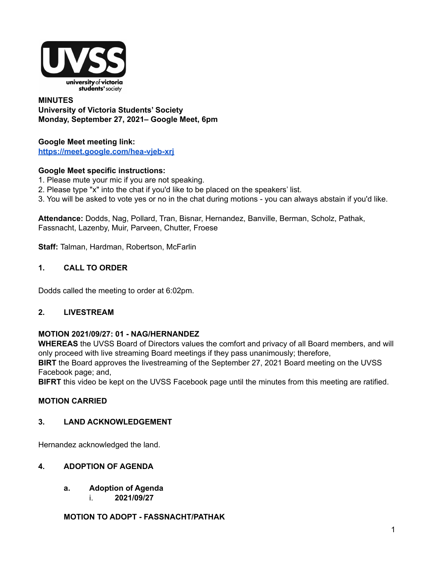

### **MINUTES University of Victoria Students' Society Monday, September 27, 2021– Google Meet, 6pm**

#### **Google Meet meeting link: <https://meet.google.com/hea-vjeb-xrj>**

### **Google Meet specific instructions:**

- 1. Please mute your mic if you are not speaking.
- 2. Please type "x" into the chat if you'd like to be placed on the speakers' list.
- 3. You will be asked to vote yes or no in the chat during motions you can always abstain if you'd like.

**Attendance:** Dodds, Nag, Pollard, Tran, Bisnar, Hernandez, Banville, Berman, Scholz, Pathak, Fassnacht, Lazenby, Muir, Parveen, Chutter, Froese

**Staff:** Talman, Hardman, Robertson, McFarlin

#### **1. CALL TO ORDER**

Dodds called the meeting to order at 6:02pm.

#### **2. LIVESTREAM**

#### **MOTION 2021/09/27: 01 - NAG/HERNANDEZ**

**WHEREAS** the UVSS Board of Directors values the comfort and privacy of all Board members, and will only proceed with live streaming Board meetings if they pass unanimously; therefore,

**BIRT** the Board approves the livestreaming of the September 27, 2021 Board meeting on the UVSS Facebook page; and,

**BIFRT** this video be kept on the UVSS Facebook page until the minutes from this meeting are ratified.

#### **MOTION CARRIED**

### **3. LAND ACKNOWLEDGEMENT**

Hernandez acknowledged the land.

#### **4. ADOPTION OF AGENDA**

- **a. Adoption of Agenda**
	- i. **2021/09/27**

### **MOTION TO ADOPT - FASSNACHT/PATHAK**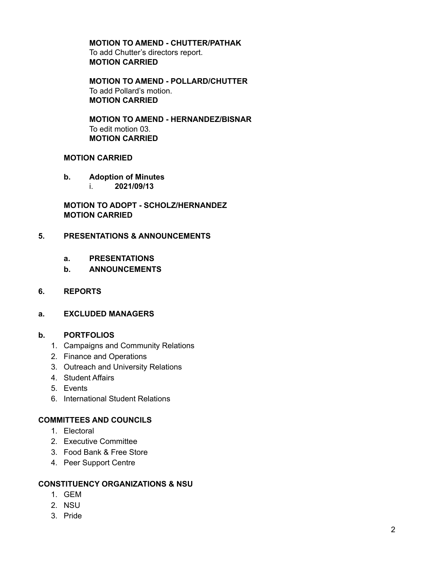#### **MOTION TO AMEND - CHUTTER/PATHAK** To add Chutter's directors report. **MOTION CARRIED**

**MOTION TO AMEND - POLLARD/CHUTTER** To add Pollard's motion. **MOTION CARRIED**

**MOTION TO AMEND - HERNANDEZ/BISNAR** To edit motion 03. **MOTION CARRIED**

#### **MOTION CARRIED**

- **b. Adoption of Minutes**
	- i. **2021/09/13**

**MOTION TO ADOPT - SCHOLZ/HERNANDEZ MOTION CARRIED**

#### **5. PRESENTATIONS & ANNOUNCEMENTS**

- **a. PRESENTATIONS**
- **b. ANNOUNCEMENTS**

#### **6. REPORTS**

#### **a. EXCLUDED MANAGERS**

#### **b. PORTFOLIOS**

- 1. Campaigns and Community Relations
- 2. Finance and Operations
- 3. Outreach and University Relations
- 4. Student Affairs
- 5. Events
- 6. International Student Relations

#### **COMMITTEES AND COUNCILS**

- 1. Electoral
- 2. Executive Committee
- 3. Food Bank & Free Store
- 4. Peer Support Centre

#### **CONSTITUENCY ORGANIZATIONS & NSU**

- 1. GEM
- 2. NSU
- 3. Pride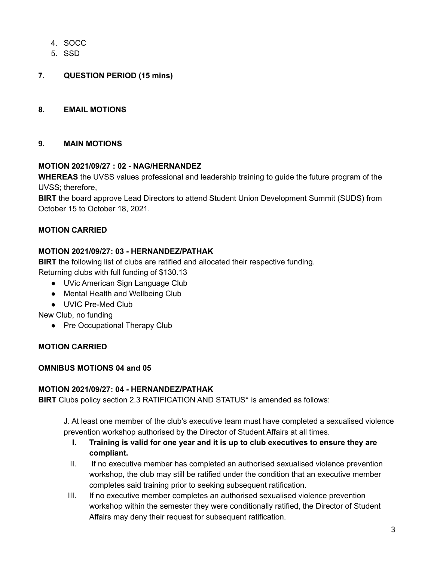- 4. SOCC
- 5. SSD
- **7. QUESTION PERIOD (15 mins)**

### **8. EMAIL MOTIONS**

### **9. MAIN MOTIONS**

### **MOTION 2021/09/27 : 02 - NAG/HERNANDEZ**

**WHEREAS** the UVSS values professional and leadership training to guide the future program of the UVSS; therefore,

**BIRT** the board approve Lead Directors to attend Student Union Development Summit (SUDS) from October 15 to October 18, 2021.

### **MOTION CARRIED**

### **MOTION 2021/09/27: 03 - HERNANDEZ/PATHAK**

**BIRT** the following list of clubs are ratified and allocated their respective funding. Returning clubs with full funding of \$130.13

- UVic American Sign Language Club
- Mental Health and Wellbeing Club
- UVIC Pre-Med Club

New Club, no funding

● Pre Occupational Therapy Club

#### **MOTION CARRIED**

### **OMNIBUS MOTIONS 04 and 05**

#### **MOTION 2021/09/27: 04 - HERNANDEZ/PATHAK**

**BIRT** Clubs policy section 2.3 RATIFICATION AND STATUS\* is amended as follows:

J. At least one member of the club's executive team must have completed a sexualised violence prevention workshop authorised by the Director of Student Affairs at all times.

- **I. Training is valid for one year and it is up to club executives to ensure they are compliant.**
- II. If no executive member has completed an authorised sexualised violence prevention workshop, the club may still be ratified under the condition that an executive member completes said training prior to seeking subsequent ratification.
- III. If no executive member completes an authorised sexualised violence prevention workshop within the semester they were conditionally ratified, the Director of Student Affairs may deny their request for subsequent ratification.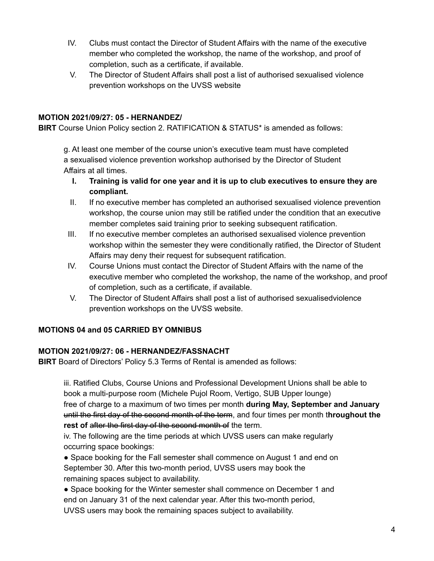- IV. Clubs must contact the Director of Student Affairs with the name of the executive member who completed the workshop, the name of the workshop, and proof of completion, such as a certificate, if available.
- V. The Director of Student Affairs shall post a list of authorised sexualised violence prevention workshops on the UVSS website

# **MOTION 2021/09/27: 05 - HERNANDEZ/**

**BIRT** Course Union Policy section 2. RATIFICATION & STATUS\* is amended as follows:

g. At least one member of the course union's executive team must have completed a sexualised violence prevention workshop authorised by the Director of Student Affairs at all times.

- **I. Training is valid for one year and it is up to club executives to ensure they are compliant.**
- II. If no executive member has completed an authorised sexualised violence prevention workshop, the course union may still be ratified under the condition that an executive member completes said training prior to seeking subsequent ratification.
- III. If no executive member completes an authorised sexualised violence prevention workshop within the semester they were conditionally ratified, the Director of Student Affairs may deny their request for subsequent ratification.
- IV. Course Unions must contact the Director of Student Affairs with the name of the executive member who completed the workshop, the name of the workshop, and proof of completion, such as a certificate, if available.
- V. The Director of Student Affairs shall post a list of authorised sexualisedviolence prevention workshops on the UVSS website.

### **MOTIONS 04 and 05 CARRIED BY OMNIBUS**

### **MOTION 2021/09/27: 06 - HERNANDEZ/FASSNACHT**

**BIRT** Board of Directors' Policy 5.3 Terms of Rental is amended as follows:

iii. Ratified Clubs, Course Unions and Professional Development Unions shall be able to book a multi-purpose room (Michele Pujol Room, Vertigo, SUB Upper lounge) free of charge to a maximum of two times per month **during May, September and January** until the first day of the second month of the term, and four times per month t**hroughout the rest of** after the first day of the second month of the term.

iv. The following are the time periods at which UVSS users can make regularly occurring space bookings:

● Space booking for the Fall semester shall commence on August 1 and end on September 30. After this two-month period, UVSS users may book the remaining spaces subject to availability.

● Space booking for the Winter semester shall commence on December 1 and end on January 31 of the next calendar year. After this two-month period, UVSS users may book the remaining spaces subject to availability.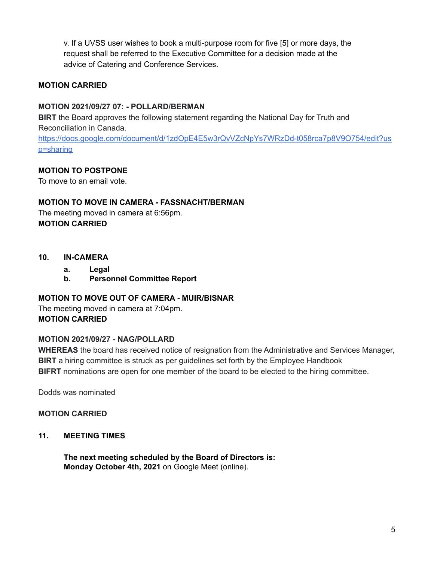v. If a UVSS user wishes to book a multi-purpose room for five [5] or more days, the request shall be referred to the Executive Committee for a decision made at the advice of Catering and Conference Services.

### **MOTION CARRIED**

### **MOTION 2021/09/27 07: - POLLARD/BERMAN**

**BIRT** the Board approves the following statement regarding the National Day for Truth and Reconciliation in Canada.

[https://docs.google.com/document/d/1zdOpE4E5w3rQvVZcNpYs7WRzDd-t058rca7p8V9O754/edit?us](https://docs.google.com/document/d/1zdOpE4E5w3rQvVZcNpYs7WRzDd-t058rca7p8V9O754/edit?usp=sharing&authuser=1) [p=sharing](https://docs.google.com/document/d/1zdOpE4E5w3rQvVZcNpYs7WRzDd-t058rca7p8V9O754/edit?usp=sharing&authuser=1)

### **MOTION TO POSTPONE**

To move to an email vote.

### **MOTION TO MOVE IN CAMERA - FASSNACHT/BERMAN**

The meeting moved in camera at 6:56pm. **MOTION CARRIED**

- **10. IN-CAMERA**
	- **a. Legal**
	- **b. Personnel Committee Report**

### **MOTION TO MOVE OUT OF CAMERA - MUIR/BISNAR**

The meeting moved in camera at 7:04pm. **MOTION CARRIED**

### **MOTION 2021/09/27 - NAG/POLLARD**

**WHEREAS** the board has received notice of resignation from the Administrative and Services Manager, **BIRT** a hiring committee is struck as per guidelines set forth by the Employee Handbook **BIFRT** nominations are open for one member of the board to be elected to the hiring committee.

Dodds was nominated

### **MOTION CARRIED**

#### **11. MEETING TIMES**

**The next meeting scheduled by the Board of Directors is: Monday October 4th, 2021** on Google Meet (online).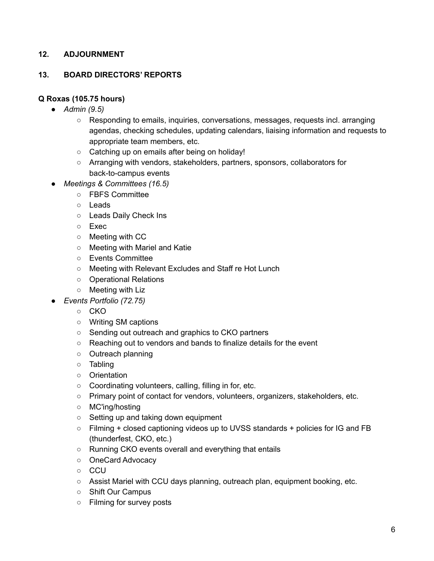# **12. ADJOURNMENT**

### **13. BOARD DIRECTORS' REPORTS**

### **Q Roxas (105.75 hours)**

- *● Admin (9.5)*
	- Responding to emails, inquiries, conversations, messages, requests incl. arranging agendas, checking schedules, updating calendars, liaising information and requests to appropriate team members, etc.
	- Catching up on emails after being on holiday!
	- Arranging with vendors, stakeholders, partners, sponsors, collaborators for back-to-campus events
- *● Meetings & Committees (16.5)*
	- FBFS Committee
		- Leads
		- Leads Daily Check Ins
		- Exec
		- Meeting with CC
		- Meeting with Mariel and Katie
		- Events Committee
		- Meeting with Relevant Excludes and Staff re Hot Lunch
		- Operational Relations
		- Meeting with Liz
	- *● Events Portfolio (72.75)*
		- CKO
		- Writing SM captions
		- Sending out outreach and graphics to CKO partners
		- Reaching out to vendors and bands to finalize details for the event
		- Outreach planning
		- Tabling
		- Orientation
		- Coordinating volunteers, calling, filling in for, etc.
		- Primary point of contact for vendors, volunteers, organizers, stakeholders, etc.
		- MC'ing/hosting
		- Setting up and taking down equipment
		- Filming + closed captioning videos up to UVSS standards + policies for IG and FB (thunderfest, CKO, etc.)
		- Running CKO events overall and everything that entails
		- OneCard Advocacy
		- CCU
		- $\circ$  Assist Mariel with CCU days planning, outreach plan, equipment booking, etc.
		- Shift Our Campus
		- Filming for survey posts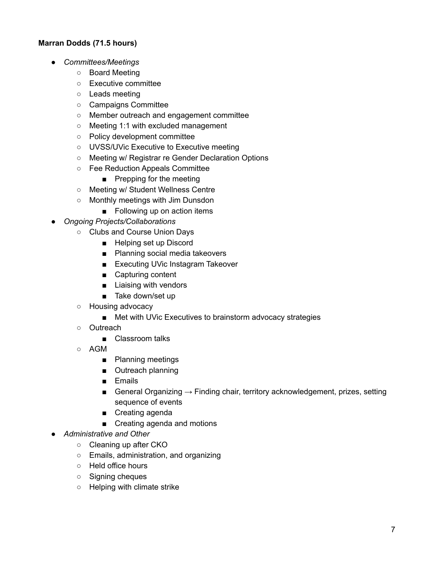# **Marran Dodds (71.5 hours)**

- *Committees/Meetings*
	- Board Meeting
	- Executive committee
	- Leads meeting
	- Campaigns Committee
	- Member outreach and engagement committee
	- Meeting 1:1 with excluded management
	- Policy development committee
	- UVSS/UVic Executive to Executive meeting
	- Meeting w/ Registrar re Gender Declaration Options
	- Fee Reduction Appeals Committee
		- Prepping for the meeting
	- Meeting w/ Student Wellness Centre
	- Monthly meetings with Jim Dunsdon
		- Following up on action items
- *Ongoing Projects/Collaborations*
	- Clubs and Course Union Days
		- Helping set up Discord
		- Planning social media takeovers
		- Executing UVic Instagram Takeover
		- Capturing content
		- Liaising with vendors
		- Take down/set up
	- Housing advocacy
		- Met with UVic Executives to brainstorm advocacy strategies
	- Outreach
		- Classroom talks
	- AGM
		- Planning meetings
		- Outreach planning
		- Emails
		- General Organizing  $\rightarrow$  Finding chair, territory acknowledgement, prizes, setting sequence of events
		- Creating agenda
		- Creating agenda and motions
- *Administrative and Other*
	- Cleaning up after CKO
	- Emails, administration, and organizing
	- Held office hours
	- Signing cheques
	- Helping with climate strike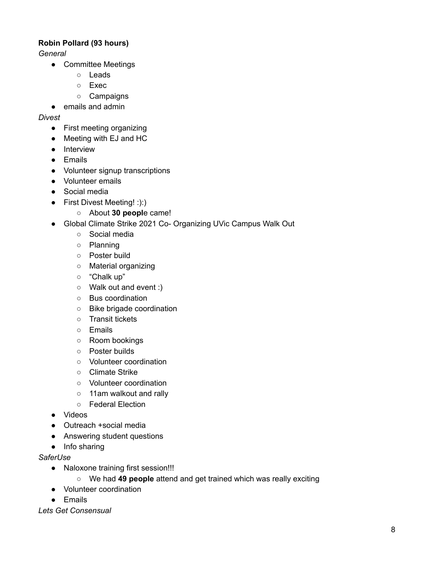# **Robin Pollard (93 hours)**

*General*

- Committee Meetings
	- Leads
	- Exec
	- Campaigns
- emails and admin

### *Divest*

- First meeting organizing
- Meeting with EJ and HC
- Interview
- Emails
- Volunteer signup transcriptions
- Volunteer emails
- Social media
- First Divest Meeting! :):)
	- About **30 peopl**e came!
- Global Climate Strike 2021 Co- Organizing UVic Campus Walk Out
	- Social media
	- Planning
	- Poster build
	- Material organizing
	- "Chalk up"
	- Walk out and event :)
	- Bus coordination
	- Bike brigade coordination
	- Transit tickets
	- Emails
	- Room bookings
	- Poster builds
	- Volunteer coordination
	- Climate Strike
	- Volunteer coordination
	- 11am walkout and rally
	- Federal Election
- Videos
- Outreach +social media
- Answering student questions
- Info sharing

### *SaferUse*

- Naloxone training first session!!!
	- We had **49 people** attend and get trained which was really exciting
- Volunteer coordination
- Emails

*Lets Get Consensual*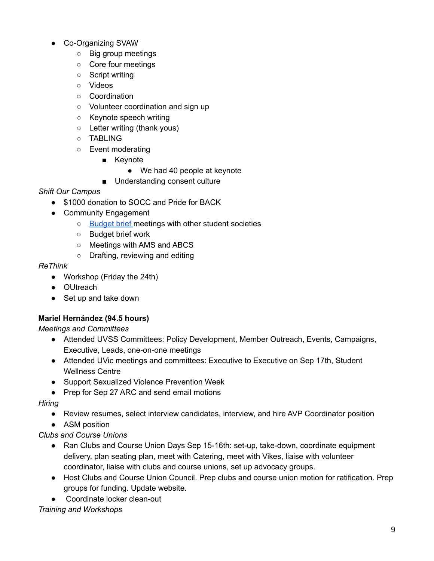- Co-Organizing SVAW
	- Big group meetings
	- Core four meetings
	- Script writing
	- Videos
	- Coordination
	- Volunteer coordination and sign up
	- Keynote speech writing
	- Letter writing (thank yous)
	- TABLING
	- Event moderating
		- Keynote
			- We had 40 people at keynote
		- Understanding consent culture

# *Shift Our Campus*

- \$1000 donation to SOCC and Pride for BACK
- Community Engagement
	- [Budget](https://docs.google.com/document/d/1m_zTikmhPOyb4l_H8_KtSag-9cXqfxAWpVM4Z9bJ4A0/edit) brief meetings with other student societies
	- Budget brief work
	- Meetings with AMS and ABCS
	- Drafting, reviewing and editing

### *ReThink*

- Workshop (Friday the 24th)
- OUtreach
- Set up and take down

# **Mariel Hernández (94.5 hours)**

*Meetings and Committees*

- Attended UVSS Committees: Policy Development, Member Outreach, Events, Campaigns, Executive, Leads, one-on-one meetings
- Attended UVic meetings and committees: Executive to Executive on Sep 17th, Student Wellness Centre
- Support Sexualized Violence Prevention Week
- Prep for Sep 27 ARC and send email motions

### *Hiring*

- Review resumes, select interview candidates, interview, and hire AVP Coordinator position
- ASM position

# *Clubs and Course Unions*

- Ran Clubs and Course Union Days Sep 15-16th: set-up, take-down, coordinate equipment delivery, plan seating plan, meet with Catering, meet with Vikes, liaise with volunteer coordinator, liaise with clubs and course unions, set up advocacy groups.
- Host Clubs and Course Union Council. Prep clubs and course union motion for ratification. Prep groups for funding. Update website.
- Coordinate locker clean-out

# *Training and Workshops*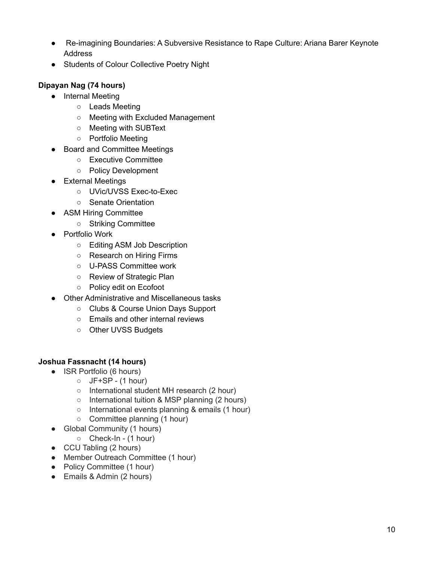- *●* Re-imagining Boundaries: A Subversive Resistance to Rape Culture: Ariana Barer Keynote Address
- Students of Colour Collective Poetry Night

# **Dipayan Nag (74 hours)**

- Internal Meeting
	- Leads Meeting
	- Meeting with Excluded Management
	- Meeting with SUBText
	- Portfolio Meeting
- Board and Committee Meetings
	- Executive Committee
	- Policy Development
- External Meetings
	- UVic/UVSS Exec-to-Exec
	- Senate Orientation
- ASM Hiring Committee
	- Striking Committee
- Portfolio Work
	- Editing ASM Job Description
	- Research on Hiring Firms
	- U-PASS Committee work
	- Review of Strategic Plan
	- Policy edit on Ecofoot
- Other Administrative and Miscellaneous tasks
	- Clubs & Course Union Days Support
	- Emails and other internal reviews
	- Other UVSS Budgets

### **Joshua Fassnacht (14 hours)**

- ISR Portfolio (6 hours)
	- $O$  JF+SP (1 hour)
	- International student MH research (2 hour)
	- International tuition & MSP planning (2 hours)
	- International events planning & emails (1 hour)
	- Committee planning (1 hour)
- Global Community (1 hours)
	- Check-In (1 hour)
- CCU Tabling (2 hours)
- Member Outreach Committee (1 hour)
- Policy Committee (1 hour)
- Emails & Admin (2 hours)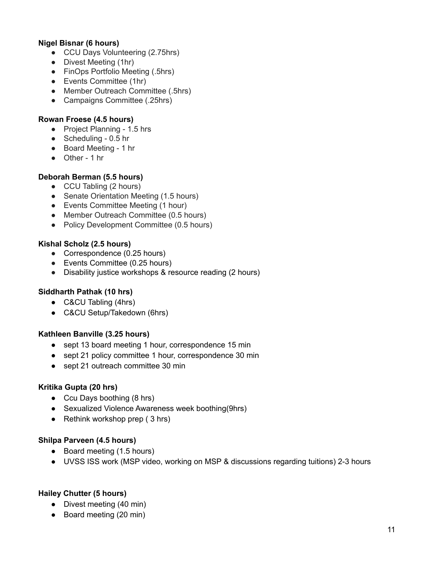# **Nigel Bisnar (6 hours)**

- CCU Days Volunteering (2.75hrs)
- Divest Meeting (1hr)
- FinOps Portfolio Meeting (.5hrs)
- Events Committee (1hr)
- Member Outreach Committee (.5hrs)
- Campaigns Committee (.25hrs)

### **Rowan Froese (4.5 hours)**

- Project Planning 1.5 hrs
- Scheduling 0.5 hr
- Board Meeting 1 hr
- Other 1 hr

### **Deborah Berman (5.5 hours)**

- CCU Tabling (2 hours)
- Senate Orientation Meeting (1.5 hours)
- Events Committee Meeting (1 hour)
- Member Outreach Committee (0.5 hours)
- Policy Development Committee (0.5 hours)

### **Kishal Scholz (2.5 hours)**

- Correspondence (0.25 hours)
- Events Committee (0.25 hours)
- Disability justice workshops & resource reading (2 hours)

### **Siddharth Pathak (10 hrs)**

- C&CU Tabling (4hrs)
- C&CU Setup/Takedown (6hrs)

#### **Kathleen Banville (3.25 hours)**

- sept 13 board meeting 1 hour, correspondence 15 min
- sept 21 policy committee 1 hour, correspondence 30 min
- sept 21 outreach committee 30 min

#### **Kritika Gupta (20 hrs)**

- Ccu Days boothing (8 hrs)
- Sexualized Violence Awareness week boothing(9hrs)
- $\bullet$  Rethink workshop prep (3 hrs)

#### **Shilpa Parveen (4.5 hours)**

- Board meeting (1.5 hours)
- UVSS ISS work (MSP video, working on MSP & discussions regarding tuitions) 2-3 hours

### **Hailey Chutter (5 hours)**

- Divest meeting (40 min)
- Board meeting (20 min)